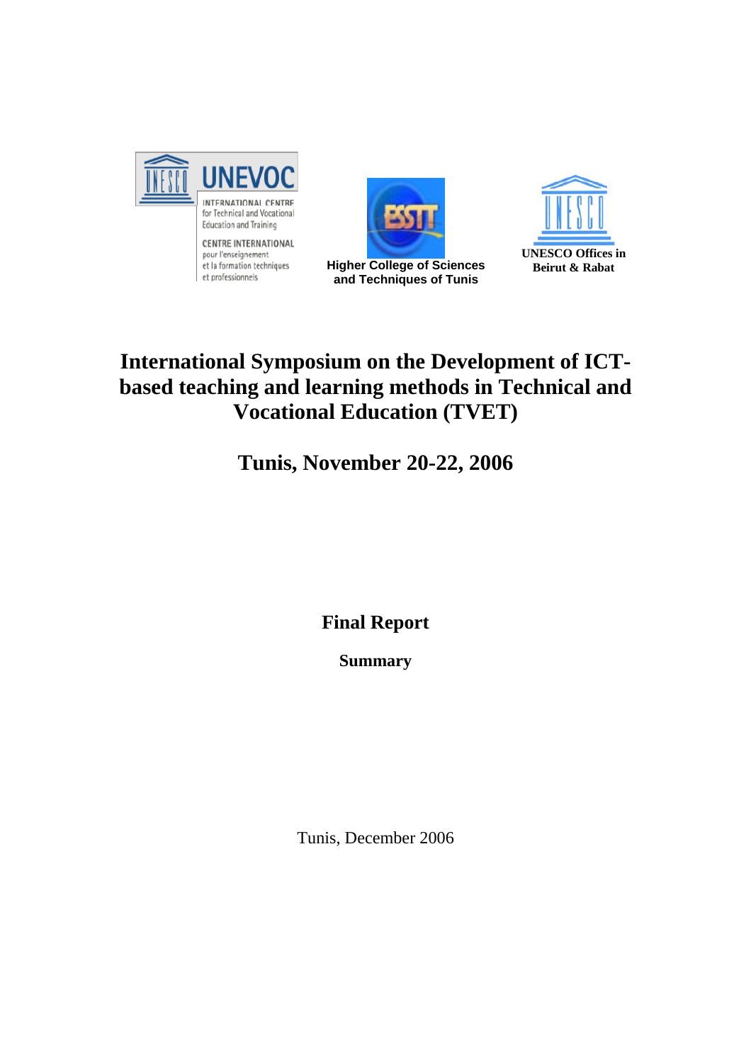

**CENTRE INTERNATIONAL** pour l'enseignement et la formation techniques et professionnels



**and Techniques of Tunis**



# **International Symposium on the Development of ICTbased teaching and learning methods in Technical and Vocational Education (TVET)**

**Tunis, November 20-22, 2006** 

**Final Report** 

**Summary** 

Tunis, December 2006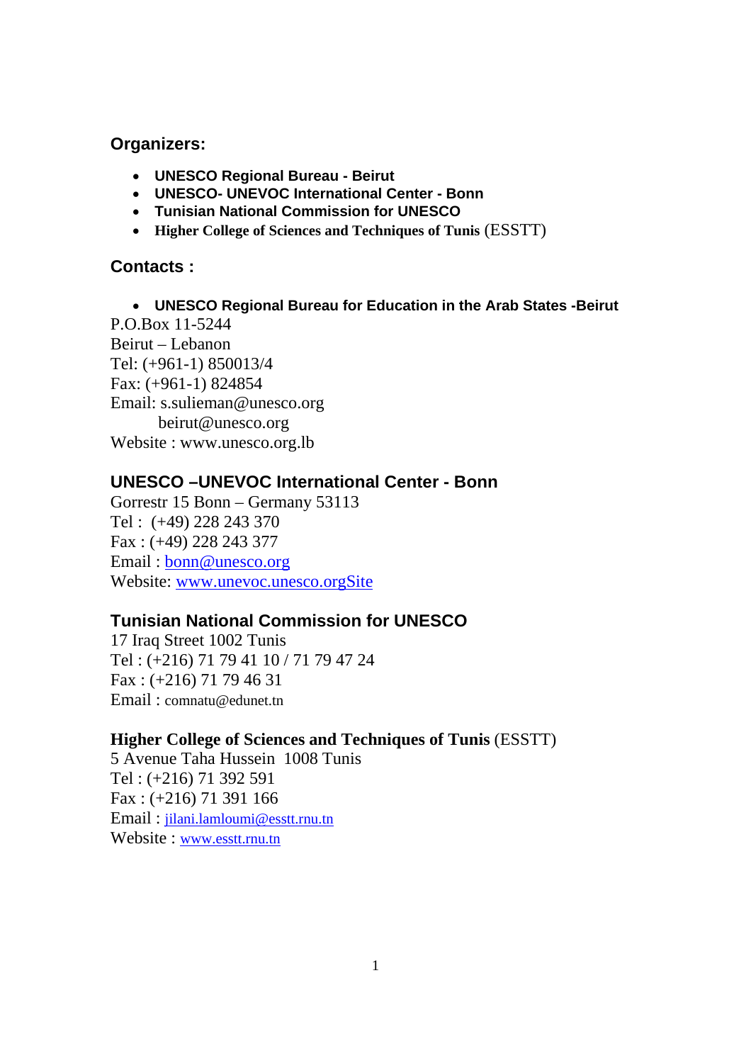# **Organizers:**

- **UNESCO Regional Bureau Beirut**
- **UNESCO- UNEVOC International Center Bonn**
- **Tunisian National Commission for UNESCO**
- **Higher College of Sciences and Techniques of Tunis** (ESSTT)

# **Contacts :**

• **UNESCO Regional Bureau for Education in the Arab States -Beirut** 

P.O.Box 11-5244 Beirut – Lebanon Tel: (+961-1) 850013/4 Fax: (+961-1) 824854 Email: s.sulieman@unesco.org beirut@unesco.org Website : www.unesco.org.lb

# **UNESCO –UNEVOC International Center - Bonn**

Gorrestr 15 Bonn – Germany 53113 Tel : (+49) 228 243 370 Fax : (+49) 228 243 377 Email : bonn@unesco.org Website: www.unevoc.unesco.orgSite

# **Tunisian National Commission for UNESCO**

17 Iraq Street 1002 Tunis Tel : (+216) 71 79 41 10 / 71 79 47 24 Fax : (+216) 71 79 46 31 Email : comnatu@edunet.tn

# **Higher College of Sciences and Techniques of Tunis** (ESSTT)

5 Avenue Taha Hussein 1008 Tunis Tel : (+216) 71 392 591 Fax : (+216) 71 391 166 Email : jilani.lamloumi@esstt.rnu.tn Website : www.esstt.rnu.tn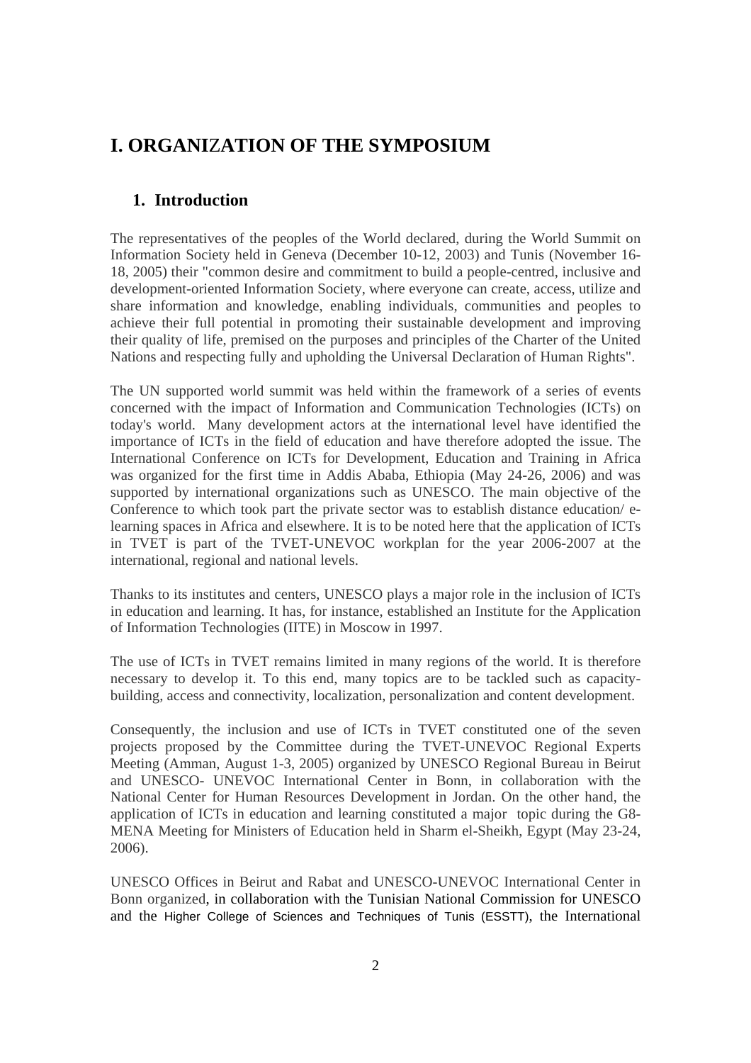# **I. ORGANI**Z**ATION OF THE SYMPOSIUM**

## **1. Introduction**

The representatives of the peoples of the World declared, during the World Summit on Information Society held in Geneva (December 10-12, 2003) and Tunis (November 16- 18, 2005) their "common desire and commitment to build a people-centred, inclusive and development-oriented Information Society, where everyone can create, access, utilize and share information and knowledge, enabling individuals, communities and peoples to achieve their full potential in promoting their sustainable development and improving their quality of life, premised on the purposes and principles of the Charter of the United Nations and respecting fully and upholding the Universal Declaration of Human Rights".

The UN supported world summit was held within the framework of a series of events concerned with the impact of Information and Communication Technologies (ICTs) on today's world. Many development actors at the international level have identified the importance of ICTs in the field of education and have therefore adopted the issue. The International Conference on ICTs for Development, Education and Training in Africa was organized for the first time in Addis Ababa, Ethiopia (May 24-26, 2006) and was supported by international organizations such as UNESCO. The main objective of the Conference to which took part the private sector was to establish distance education/ elearning spaces in Africa and elsewhere. It is to be noted here that the application of ICTs in TVET is part of the TVET-UNEVOC workplan for the year 2006-2007 at the international, regional and national levels.

Thanks to its institutes and centers, UNESCO plays a major role in the inclusion of ICTs in education and learning. It has, for instance, established an Institute for the Application of Information Technologies (IITE) in Moscow in 1997.

The use of ICTs in TVET remains limited in many regions of the world. It is therefore necessary to develop it. To this end, many topics are to be tackled such as capacitybuilding, access and connectivity, localization, personalization and content development.

Consequently, the inclusion and use of ICTs in TVET constituted one of the seven projects proposed by the Committee during the TVET-UNEVOC Regional Experts Meeting (Amman, August 1-3, 2005) organized by UNESCO Regional Bureau in Beirut and UNESCO- UNEVOC International Center in Bonn, in collaboration with the National Center for Human Resources Development in Jordan. On the other hand, the application of ICTs in education and learning constituted a major topic during the G8- MENA Meeting for Ministers of Education held in Sharm el-Sheikh, Egypt (May 23-24, 2006).

UNESCO Offices in Beirut and Rabat and UNESCO-UNEVOC International Center in Bonn organized, in collaboration with the Tunisian National Commission for UNESCO and the Higher College of Sciences and Techniques of Tunis (ESSTT), the International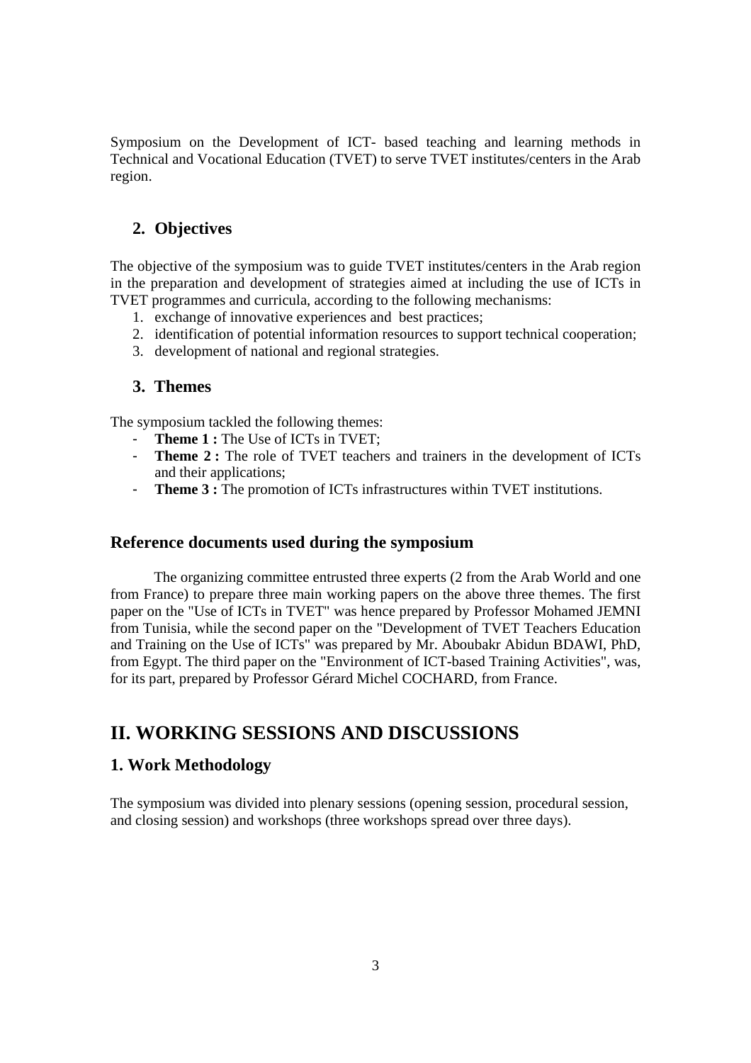Symposium on the Development of ICT- based teaching and learning methods in Technical and Vocational Education (TVET) to serve TVET institutes/centers in the Arab region.

# **2. Objectives**

The objective of the symposium was to guide TVET institutes/centers in the Arab region in the preparation and development of strategies aimed at including the use of ICTs in TVET programmes and curricula, according to the following mechanisms:

- 1. exchange of innovative experiences and best practices;
- 2. identification of potential information resources to support technical cooperation;
- 3. development of national and regional strategies.

#### **3. Themes**

The symposium tackled the following themes:

- Theme 1 : The Use of ICTs in TVET;
- **Theme 2 :** The role of TVET teachers and trainers in the development of ICTs and their applications;
- **Theme 3 :** The promotion of ICTs infrastructures within TVET institutions.

#### **Reference documents used during the symposium**

 The organizing committee entrusted three experts (2 from the Arab World and one from France) to prepare three main working papers on the above three themes. The first paper on the "Use of ICTs in TVET" was hence prepared by Professor Mohamed JEMNI from Tunisia, while the second paper on the "Development of TVET Teachers Education and Training on the Use of ICTs" was prepared by Mr. Aboubakr Abidun BDAWI, PhD, from Egypt. The third paper on the "Environment of ICT-based Training Activities", was, for its part, prepared by Professor Gérard Michel COCHARD, from France.

# **II. WORKING SESSIONS AND DISCUSSIONS**

#### **1. Work Methodology**

The symposium was divided into plenary sessions (opening session, procedural session, and closing session) and workshops (three workshops spread over three days).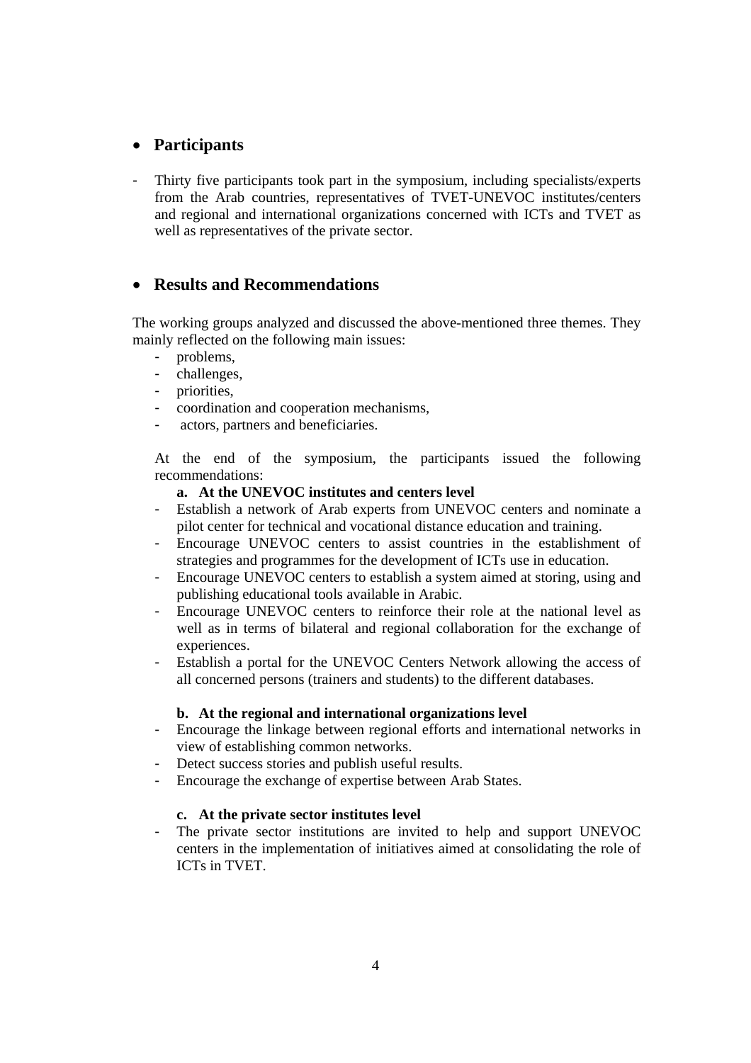### • **Participants**

- Thirty five participants took part in the symposium, including specialists/experts from the Arab countries, representatives of TVET-UNEVOC institutes/centers and regional and international organizations concerned with ICTs and TVET as well as representatives of the private sector.

### • **Results and Recommendations**

The working groups analyzed and discussed the above-mentioned three themes. They mainly reflected on the following main issues:

- problems,
- challenges,
- priorities,
- coordination and cooperation mechanisms,
- actors, partners and beneficiaries.

At the end of the symposium, the participants issued the following recommendations:

#### **a. At the UNEVOC institutes and centers level**

- Establish a network of Arab experts from UNEVOC centers and nominate a pilot center for technical and vocational distance education and training.
- Encourage UNEVOC centers to assist countries in the establishment of strategies and programmes for the development of ICTs use in education.
- Encourage UNEVOC centers to establish a system aimed at storing, using and publishing educational tools available in Arabic.
- Encourage UNEVOC centers to reinforce their role at the national level as well as in terms of bilateral and regional collaboration for the exchange of experiences.
- Establish a portal for the UNEVOC Centers Network allowing the access of all concerned persons (trainers and students) to the different databases.

#### **b. At the regional and international organizations level**

- Encourage the linkage between regional efforts and international networks in view of establishing common networks.
- Detect success stories and publish useful results.
- Encourage the exchange of expertise between Arab States.

#### **c. At the private sector institutes level**

- The private sector institutions are invited to help and support UNEVOC centers in the implementation of initiatives aimed at consolidating the role of ICTs in TVET.